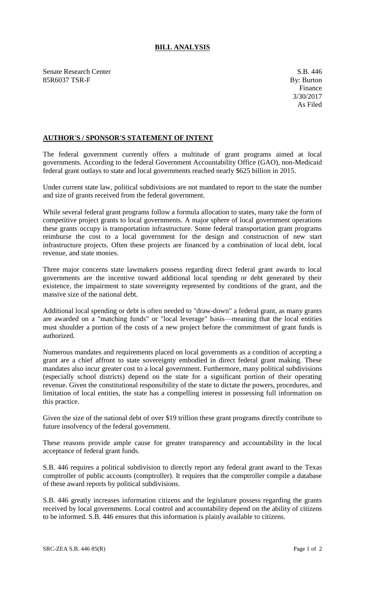## **BILL ANALYSIS**

Senate Research Center S.B. 446 85R6037 TSR-F By: Burton

## **AUTHOR'S / SPONSOR'S STATEMENT OF INTENT**

The federal government currently offers a multitude of grant programs aimed at local governments. According to the federal Government Accountability Office (GAO), non-Medicaid federal grant outlays to state and local governments reached nearly \$625 billion in 2015.

Under current state law, political subdivisions are not mandated to report to the state the number and size of grants received from the federal government.

While several federal grant programs follow a formula allocation to states, many take the form of competitive project grants to local governments. A major sphere of local government operations these grants occupy is transportation infrastructure. Some federal transportation grant programs reimburse the cost to a local government for the design and construction of new start infrastructure projects. Often these projects are financed by a combination of local debt, local revenue, and state monies.

Three major concerns state lawmakers possess regarding direct federal grant awards to local governments are the incentive toward additional local spending or debt generated by their existence, the impairment to state sovereignty represented by conditions of the grant, and the massive size of the national debt.

Additional local spending or debt is often needed to "draw-down" a federal grant, as many grants are awarded on a "matching funds" or "local leverage" basis—meaning that the local entities must shoulder a portion of the costs of a new project before the commitment of grant funds is authorized.

Numerous mandates and requirements placed on local governments as a condition of accepting a grant are a chief affront to state sovereignty embodied in direct federal grant making. These mandates also incur greater cost to a local government. Furthermore, many political subdivisions (especially school districts) depend on the state for a significant portion of their operating revenue. Given the constitutional responsibility of the state to dictate the powers, procedures, and limitation of local entities, the state has a compelling interest in possessing full information on this practice.

Given the size of the national debt of over \$19 trillion these grant programs directly contribute to future insolvency of the federal government.

These reasons provide ample cause for greater transparency and accountability in the local acceptance of federal grant funds.

S.B. 446 requires a political subdivision to directly report any federal grant award to the Texas comptroller of public accounts (comptroller). It requires that the comptroller compile a database of these award reports by political subdivisions.

S.B. 446 greatly increases information citizens and the legislature possess regarding the grants received by local governments. Local control and accountability depend on the ability of citizens to be informed. S.B. 446 ensures that this information is plainly available to citizens.